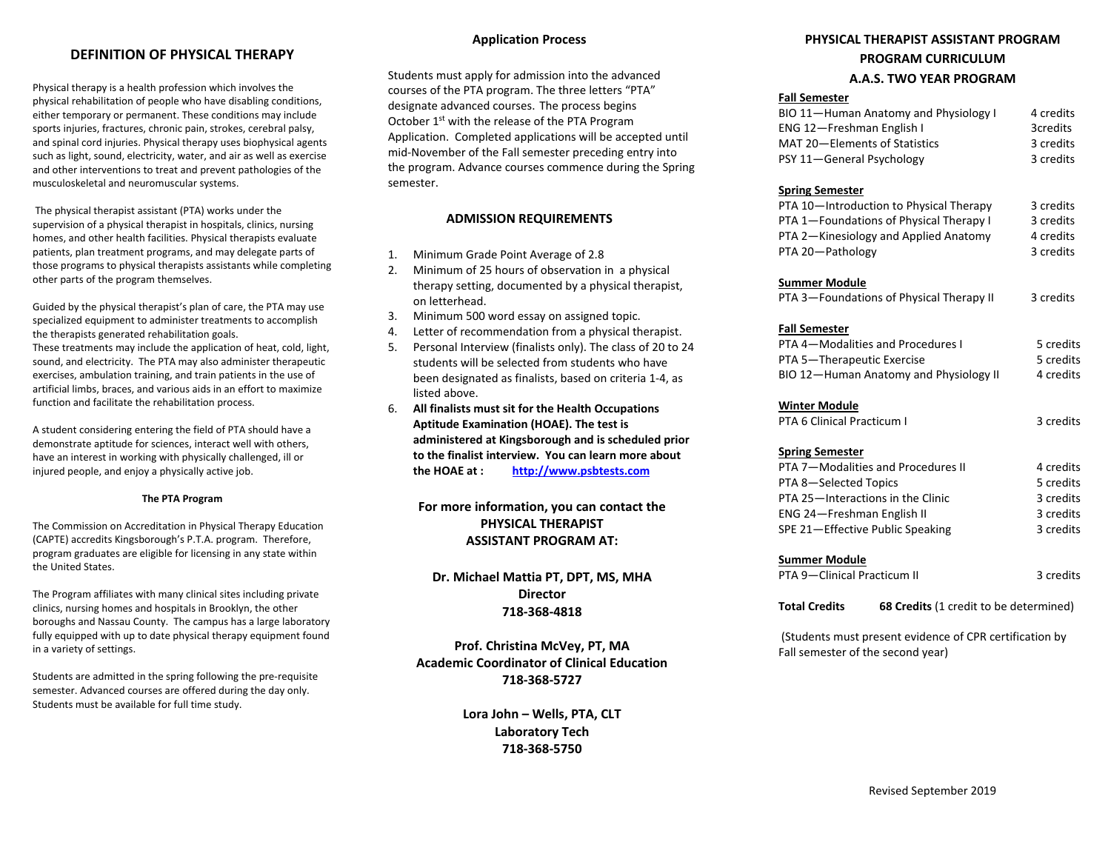### **DEFINITION OF PHYSICAL THERAPY**

Physical therapy is a health profession which involves the physical rehabilitation of people who have disabling conditions, either temporary or permanent. These conditions may include sports injuries, fractures, chronic pain, strokes, cerebral palsy, and spinal cord injuries. Physical therapy uses biophysical agents such as light, sound, electricity, water, and air as well as exercise and other interventions to treat and prevent pathologies of the musculoskeletal and neuromuscular systems.

The physical therapist assistant (PTA) works under the supervision of a physical therapist in hospitals, clinics, nursing homes, and other health facilities. Physical therapists evaluate patients, plan treatment programs, and may delegate parts of those programs to physical therapists assistants while completing other parts of the program themselves.

Guided by the physical therapist's plan of care, the PTA may use specialized equipment to administer treatments to accomplish the therapists generated rehabilitation goals.

These treatments may include the application of heat, cold, light, sound, and electricity. The PTA may also administer therapeutic exercises, ambulation training, and train patients in the use of artificial limbs, braces, and various aids in an effort to maximize function and facilitate the rehabilitation process.

A student considering entering the field of PTA should have a demonstrate aptitude for sciences, interact well with others, have an interest in working with physically challenged, ill or injured people, and enjoy a physically active job.

#### **The PTA Program**

The Commission on Accreditation in Physical Therapy Education (CAPTE) accredits Kingsborough's P.T.A. program. Therefore, program graduates are eligible for licensing in any state within the United States.

The Program affiliates with many clinical sites including private clinics, nursing homes and hospitals in Brooklyn, the other boroughs and Nassau County. The campus has a large laboratory fully equipped with up to date physical therapy equipment found in a variety of settings.

Students are admitted in the spring following the pre-requisite semester. Advanced courses are offered during the day only. Students must be available for full time study.

#### **Application Process**

Students must apply for admission into the advanced courses of the PTA program. The three letters "PTA" designate advanced courses. The process begins October 1<sup>st</sup> with the release of the PTA Program Application. Completed applications will be accepted until mid-November of the Fall semester preceding entry into the program. Advance courses commence during the Spring semester.

#### **ADMISSION REQUIREMENTS**

- 1. Minimum Grade Point Average of 2.8
- 2. Minimum of 25 hours of observation in a physical therapy setting, documented by a physical therapist, on letterhead.
- 3. Minimum 500 word essay on assigned topic.
- Letter of recommendation from a physical therapist.
- 5. Personal Interview (finalists only). The class of 20 to 24 students will be selected from students who have been designated as finalists, based on criteria 1-4, as listed above.
- 6. **All finalists must sit for the Health Occupations Aptitude Examination (HOAE). The test is administered at Kingsborough and is scheduled prior to the finalist interview. You can learn more about the HOAE at : [http://www.psbtests.com](http://www.psbtests.com/)**

**For more information, you can contact the PHYSICAL THERAPIST ASSISTANT PROGRAM AT:**

**Dr. Michael Mattia PT, DPT, MS, MHA Director 718-368-4818**

**Prof. Christina McVey, PT, MA Academic Coordinator of Clinical Education 718-368-5727**

> **Lora John – Wells, PTA, CLT Laboratory Tech 718-368-5750**

## **PHYSICAL THERAPIST ASSISTANT PROGRAM PROGRAM CURRICULUM A.A.S. TWO YEAR PROGRAM**

#### **Fall Semester**

| BIO 11-Human Anatomy and Physiology I | 4 credits |
|---------------------------------------|-----------|
| ENG 12-Freshman English I             | 3credits  |
| MAT 20-Elements of Statistics         | 3 credits |
| PSY 11-General Psychology             | 3 credits |

#### **Spring Semester**

| PTA 10-Introduction to Physical Therapy | 3 credits |
|-----------------------------------------|-----------|
| PTA 1-Foundations of Physical Therapy I | 3 credits |
| PTA 2-Kinesiology and Applied Anatomy   | 4 credits |
| PTA 20-Pathology                        | 3 credits |

#### **Summer Module**

| PTA 3—Foundations of Physical Therapy II | 3 credits |
|------------------------------------------|-----------|
|------------------------------------------|-----------|

#### **Fall Semester**

| PTA 4—Modalities and Procedures I      | 5 credits |
|----------------------------------------|-----------|
| PTA 5-Therapeutic Exercise             | 5 credits |
| BIO 12-Human Anatomy and Physiology II | 4 credits |

#### **Winter Module**

| PTA 6 Clinical Practicum I | 3 credits |
|----------------------------|-----------|
|----------------------------|-----------|

#### **Spring Semester**

| PTA 7-Modalities and Procedures II | 4 credits |
|------------------------------------|-----------|
| PTA 8-Selected Topics              | 5 credits |
| PTA 25-Interactions in the Clinic  | 3 credits |
| ENG 24-Freshman English II         | 3 credits |
| SPE 21-Effective Public Speaking   | 3 credits |

#### **Summer Module**

PTA 9-Clinical Practicum II 3 credits

**Total Credits** 68 Credits (1 credit to be determined)

(Students must present evidence of CPR certification by Fall semester of the second year)